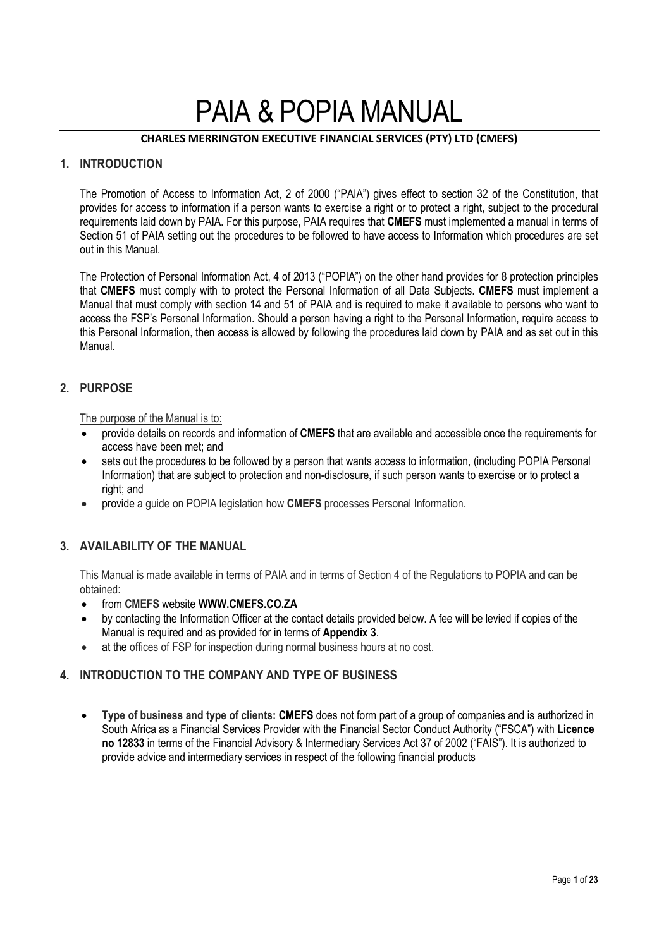# PAIA & POPIA MANUAL

## **CHARLES MERRINGTON EXECUTIVE FINANCIAL SERVICES (PTY) LTD (CMEFS)**

# **1. INTRODUCTION**

The Promotion of Access to Information Act, 2 of 2000 ("PAIA") gives effect to section 32 of the Constitution, that provides for access to information if a person wants to exercise a right or to protect a right, subject to the procedural requirements laid down by PAIA. For this purpose, PAIA requires that **CMEFS** must implemented a manual in terms of Section 51 of PAIA setting out the procedures to be followed to have access to Information which procedures are set out in this Manual.

The Protection of Personal Information Act, 4 of 2013 ("POPIA") on the other hand provides for 8 protection principles that **CMEFS** must comply with to protect the Personal Information of all Data Subjects. **CMEFS** must implement a Manual that must comply with section 14 and 51 of PAIA and is required to make it available to persons who want to access the FSP's Personal Information. Should a person having a right to the Personal Information, require access to this Personal Information, then access is allowed by following the procedures laid down by PAIA and as set out in this Manual.

# **2. PURPOSE**

The purpose of the Manual is to:

- provide details on records and information of **CMEFS** that are available and accessible once the requirements for access have been met; and
- sets out the procedures to be followed by a person that wants access to information, (including POPIA Personal Information) that are subject to protection and non-disclosure, if such person wants to exercise or to protect a right; and
- provide a guide on POPIA legislation how **CMEFS** processes Personal Information.

# **3. AVAILABILITY OF THE MANUAL**

This Manual is made available in terms of PAIA and in terms of Section 4 of the Regulations to POPIA and can be obtained:

- from **CMEFS** website **WWW.CMEFS.CO.ZA**
- by contacting the Information Officer at the contact details provided below. A fee will be levied if copies of the Manual is required and as provided for in terms of **Appendix 3**.
- at the offices of FSP for inspection during normal business hours at no cost.

# **4. INTRODUCTION TO THE COMPANY AND TYPE OF BUSINESS**

 **Type of business and type of clients: CMEFS** does not form part of a group of companies and is authorized in South Africa as a Financial Services Provider with the Financial Sector Conduct Authority ("FSCA") with **Licence no 12833** in terms of the Financial Advisory & Intermediary Services Act 37 of 2002 ("FAIS"). It is authorized to provide advice and intermediary services in respect of the following financial products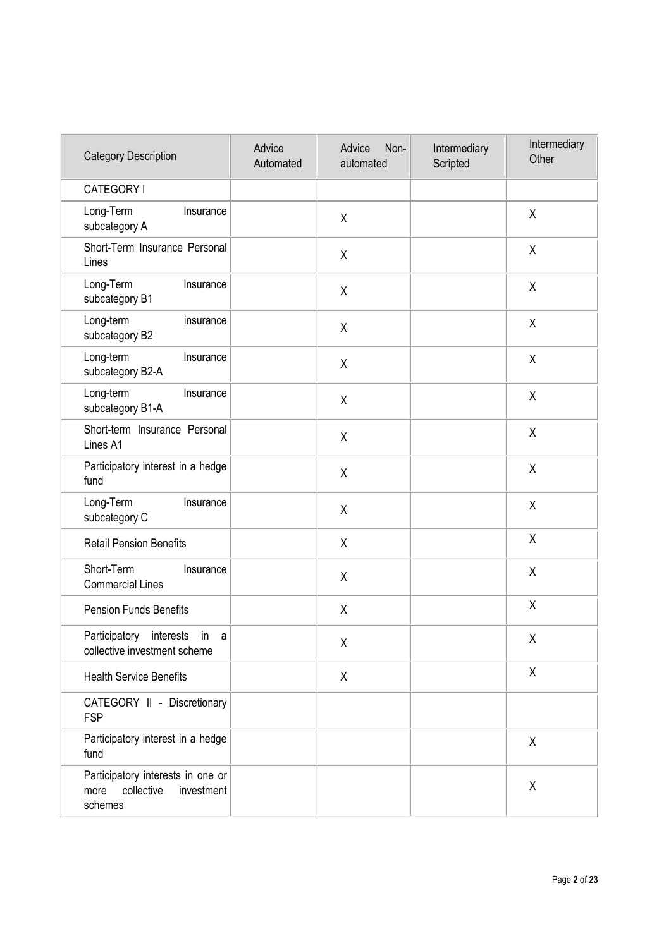| <b>Category Description</b>                                                      | Advice<br>Automated | Advice<br>Non-<br>automated | Intermediary<br>Scripted | Intermediary<br>Other |
|----------------------------------------------------------------------------------|---------------------|-----------------------------|--------------------------|-----------------------|
| CATEGORY I                                                                       |                     |                             |                          |                       |
| Long-Term<br>Insurance<br>subcategory A                                          |                     | Χ                           |                          | $\sf X$               |
| Short-Term Insurance Personal<br>Lines                                           |                     | Χ                           |                          | X                     |
| Long-Term<br>Insurance<br>subcategory B1                                         |                     | X                           |                          | $\pmb{\mathsf{X}}$    |
| Long-term<br>insurance<br>subcategory B2                                         |                     | Χ                           |                          | X                     |
| Long-term<br>Insurance<br>subcategory B2-A                                       |                     | X                           |                          | X                     |
| Long-term<br>Insurance<br>subcategory B1-A                                       |                     | X                           |                          | $\sf X$               |
| Short-term Insurance Personal<br>Lines A1                                        |                     | Χ                           |                          | $\pmb{\mathsf{X}}$    |
| Participatory interest in a hedge<br>fund                                        |                     | $\sf X$                     |                          | X                     |
| Long-Term<br>Insurance<br>subcategory C                                          |                     | $\sf X$                     |                          | X                     |
| <b>Retail Pension Benefits</b>                                                   |                     | X                           |                          | $\sf X$               |
| Short-Term<br>Insurance<br><b>Commercial Lines</b>                               |                     | X                           |                          | $\sf X$               |
| <b>Pension Funds Benefits</b>                                                    |                     | Χ                           |                          | $\sf X$               |
| Participatory<br>interests<br>in a<br>collective investment scheme               |                     | Χ                           |                          | Χ                     |
| <b>Health Service Benefits</b>                                                   |                     | X                           |                          | $\sf X$               |
| CATEGORY II - Discretionary<br><b>FSP</b>                                        |                     |                             |                          |                       |
| Participatory interest in a hedge<br>fund                                        |                     |                             |                          | $\pmb{\mathsf{X}}$    |
| Participatory interests in one or<br>collective<br>investment<br>more<br>schemes |                     |                             |                          | X                     |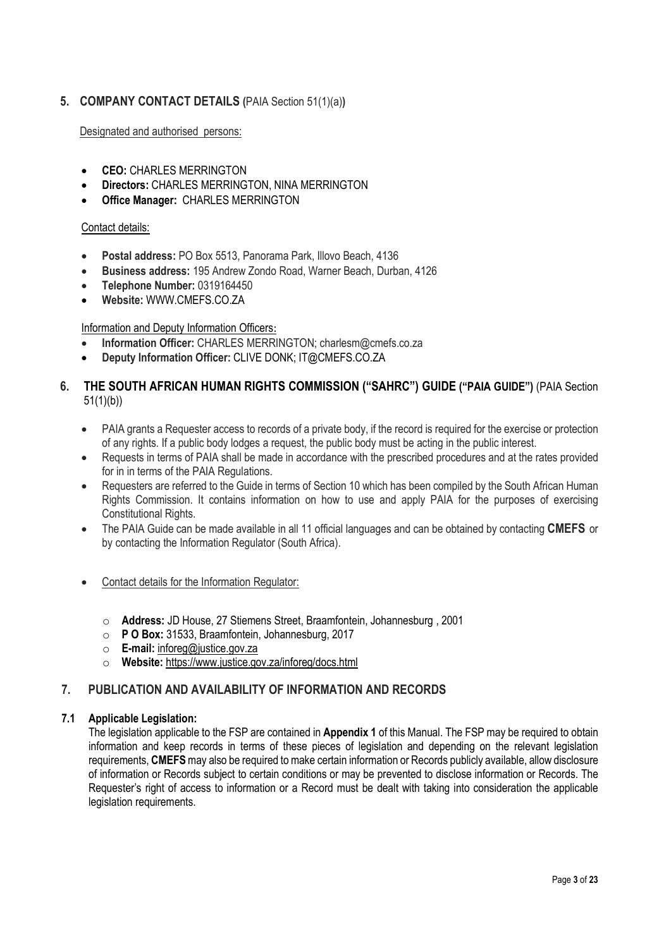# **5. COMPANY CONTACT DETAILS (**PAIA Section 51(1)(a)**)**

Designated and authorised persons:

- **CEO: CHARLES MERRINGTON**
- **Directors:** CHARLES MERRINGTON, NINA MERRINGTON
- **Office Manager:** CHARLES MERRINGTON

#### Contact details:

- **Postal address:** PO Box 5513, Panorama Park, Illovo Beach, 4136
- **Business address:** 195 Andrew Zondo Road, Warner Beach, Durban, 4126
- **Telephone Number:** 0319164450
- **Website:** WWW.CMEFS.CO.ZA

## Information and Deputy Information Officers:

- **Information Officer:** CHARLES MERRINGTON; charlesm@cmefs.co.za
- **Deputy Information Officer:** CLIVE DONK; IT@CMEFS.CO.ZA

# **6. THE SOUTH AFRICAN HUMAN RIGHTS COMMISSION ("SAHRC") GUIDE ("PAIA GUIDE")** (PAIA Section 51(1)(b))

- PAIA grants a Requester access to records of a private body, if the record is required for the exercise or protection of any rights. If a public body lodges a request, the public body must be acting in the public interest.
- Requests in terms of PAIA shall be made in accordance with the prescribed procedures and at the rates provided for in in terms of the PAIA Regulations.
- Requesters are referred to the Guide in terms of Section 10 which has been compiled by the South African Human Rights Commission. It contains information on how to use and apply PAIA for the purposes of exercising Constitutional Rights.
- The PAIA Guide can be made available in all 11 official languages and can be obtained by contacting **CMEFS** or by contacting the Information Regulator (South Africa).
- Contact details for the Information Regulator:
	- o **Address:** JD House, 27 Stiemens Street, Braamfontein, Johannesburg , 2001
	- o **P O Box:** 31533, Braamfontein, Johannesburg, 2017
	- o **E-mail:** inforeg@justice.gov.za
	- o **Website:** https://www.justice.gov.za/inforeg/docs.html

# **7. PUBLICATION AND AVAILABILITY OF INFORMATION AND RECORDS**

## **7.1 Applicable Legislation:**

The legislation applicable to the FSP are contained in **Appendix 1** of this Manual. The FSP may be required to obtain information and keep records in terms of these pieces of legislation and depending on the relevant legislation requirements, **CMEFS**may also be required to make certain information or Records publicly available, allow disclosure of information or Records subject to certain conditions or may be prevented to disclose information or Records. The Requester's right of access to information or a Record must be dealt with taking into consideration the applicable legislation requirements.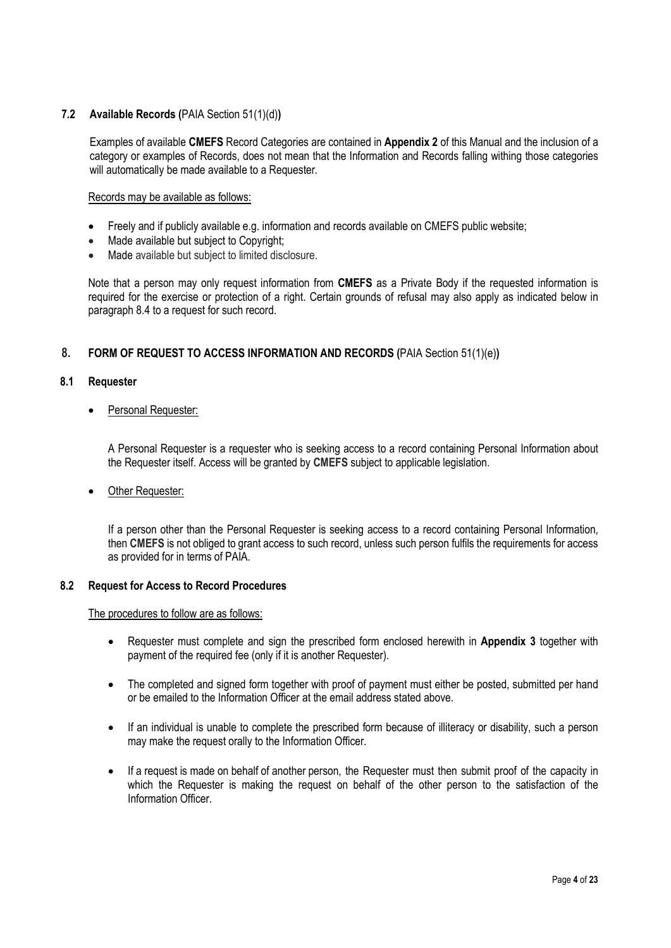## **7.2 Available Records (**PAIA Section 51(1)(d)**)**

Examples of available **CMEFS** Record Categories are contained in **Appendix 2** of this Manual and the inclusion of a category or examples of Records, does not mean that the Information and Records falling withing those categories will automatically be made available to a Requester.

#### Records may be available as follows:

- Freely and if publicly available e.g. information and records available on CMEFS public website;
- Made available but subject to Copyright;
- Made available but subject to limited disclosure.

Note that a person may only request information from **CMEFS** as a Private Body if the requested information is required for the exercise or protection of a right. Certain grounds of refusal may also apply as indicated below in paragraph 8.4 to a request for such record.

## **8. FORM OF REQUEST TO ACCESS INFORMATION AND RECORDS (**PAIA Section 51(1)(e)**)**

## **8.1 Requester**

## Personal Requester:

A Personal Requester is a requester who is seeking access to a record containing Personal Information about the Requester itself. Access will be granted by **CMEFS** subject to applicable legislation.

## Other Requester:

If a person other than the Personal Requester is seeking access to a record containing Personal Information, then **CMEFS** is not obliged to grant access to such record, unless such person fulfils the requirements for access as provided for in terms of PAIA.

## **8.2 Request for Access to Record Procedures**

## The procedures to follow are as follows:

- Requester must complete and sign the prescribed form enclosed herewith in **Appendix 3** together with payment of the required fee (only if it is another Requester).
- The completed and signed form together with proof of payment must either be posted, submitted per hand or be emailed to the Information Officer at the email address stated above.
- If an individual is unable to complete the prescribed form because of illiteracy or disability, such a person may make the request orally to the Information Officer.
- If a request is made on behalf of another person, the Requester must then submit proof of the capacity in which the Requester is making the request on behalf of the other person to the satisfaction of the Information Officer.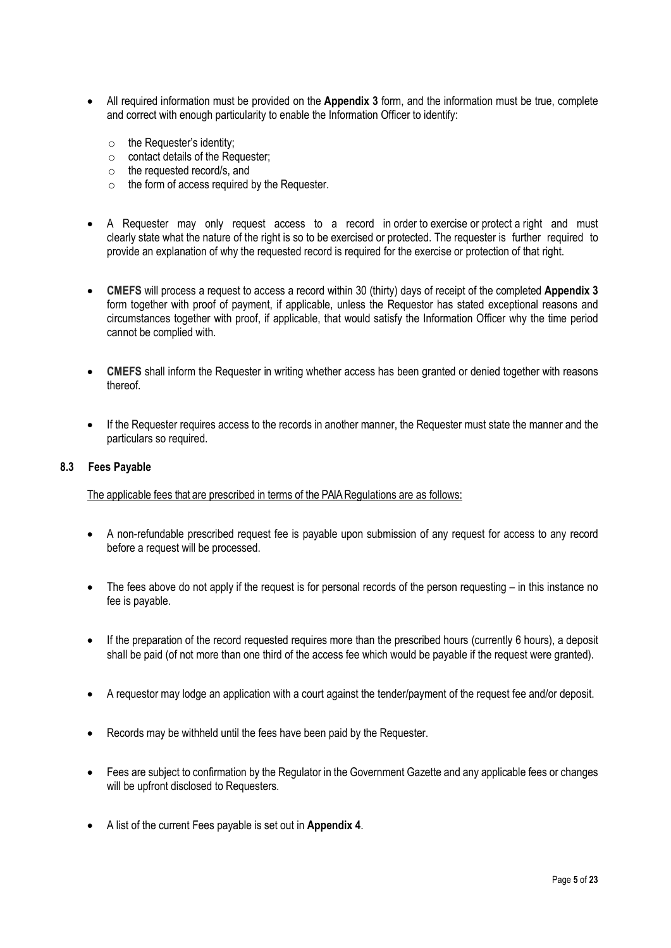- All required information must be provided on the **Appendix 3** form, and the information must be true, complete and correct with enough particularity to enable the Information Officer to identify:
	- o the Requester's identity;
	- o contact details of the Requester;
	- o the requested record/s, and
	- $\circ$  the form of access required by the Requester.
- A Requester may only request access to a record in order to exercise or protect a right and must clearly state what the nature of the right is so to be exercised or protected. The requester is further required to provide an explanation of why the requested record is required for the exercise or protection of that right.
- **CMEFS** will process a request to access a record within 30 (thirty) days of receipt of the completed **Appendix 3** form together with proof of payment, if applicable, unless the Requestor has stated exceptional reasons and circumstances together with proof, if applicable, that would satisfy the Information Officer why the time period cannot be complied with.
- **CMEFS** shall inform the Requester in writing whether access has been granted or denied together with reasons thereof.
- If the Requester requires access to the records in another manner, the Requester must state the manner and the particulars so required.

#### **8.3 Fees Payable**

The applicable fees that are prescribed in terms of the PAIA Regulations are as follows:

- A non-refundable prescribed request fee is payable upon submission of any request for access to any record before a request will be processed.
- The fees above do not apply if the request is for personal records of the person requesting in this instance no fee is payable.
- If the preparation of the record requested requires more than the prescribed hours (currently 6 hours), a deposit shall be paid (of not more than one third of the access fee which would be payable if the request were granted).
- A requestor may lodge an application with a court against the tender/payment of the request fee and/or deposit.
- Records may be withheld until the fees have been paid by the Requester.
- Fees are subject to confirmation by the Regulator in the Government Gazette and any applicable fees or changes will be upfront disclosed to Requesters.
- A list of the current Fees payable is set out in **Appendix 4**.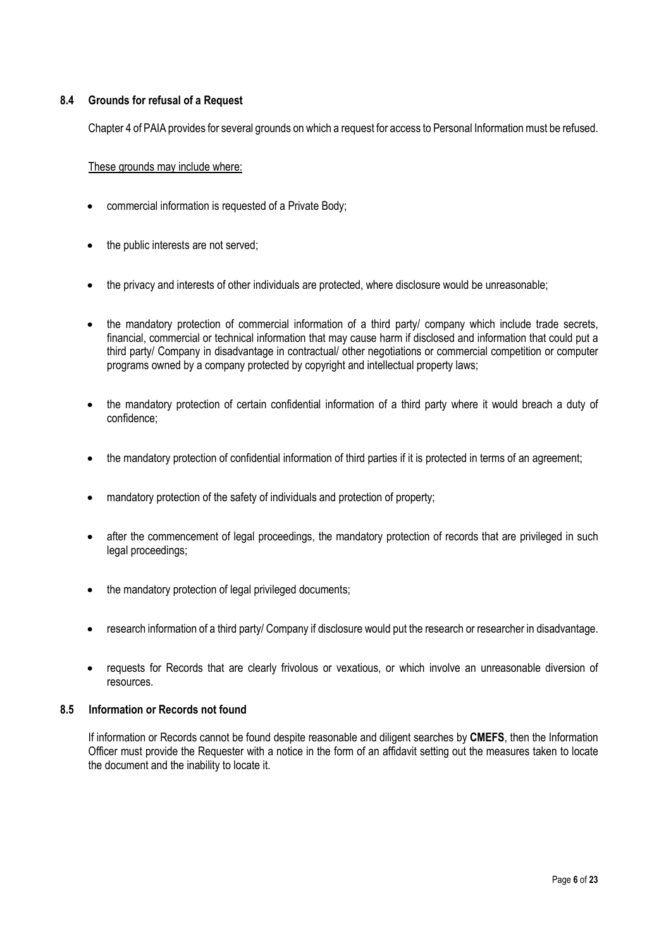## **8.4 Grounds for refusal of a Request**

Chapter 4 of PAIA provides for several grounds on which a request for access to Personal Information must be refused.

These grounds may include where:

- commercial information is requested of a Private Body;
- the public interests are not served;
- the privacy and interests of other individuals are protected, where disclosure would be unreasonable;
- the mandatory protection of commercial information of a third party/ company which include trade secrets, financial, commercial or technical information that may cause harm if disclosed and information that could put a third party/ Company in disadvantage in contractual/ other negotiations or commercial competition or computer programs owned by a company protected by copyright and intellectual property laws;
- the mandatory protection of certain confidential information of a third party where it would breach a duty of confidence;
- the mandatory protection of confidential information of third parties if it is protected in terms of an agreement;
- mandatory protection of the safety of individuals and protection of property;
- after the commencement of legal proceedings, the mandatory protection of records that are privileged in such legal proceedings;
- the mandatory protection of legal privileged documents:
- research information of a third party/ Company if disclosure would put the research or researcher in disadvantage.
- requests for Records that are clearly frivolous or vexatious, or which involve an unreasonable diversion of resources.

# **8.5 Information or Records not found**

If information or Records cannot be found despite reasonable and diligent searches by **CMEFS**, then the Information Officer must provide the Requester with a notice in the form of an affidavit setting out the measures taken to locate the document and the inability to locate it.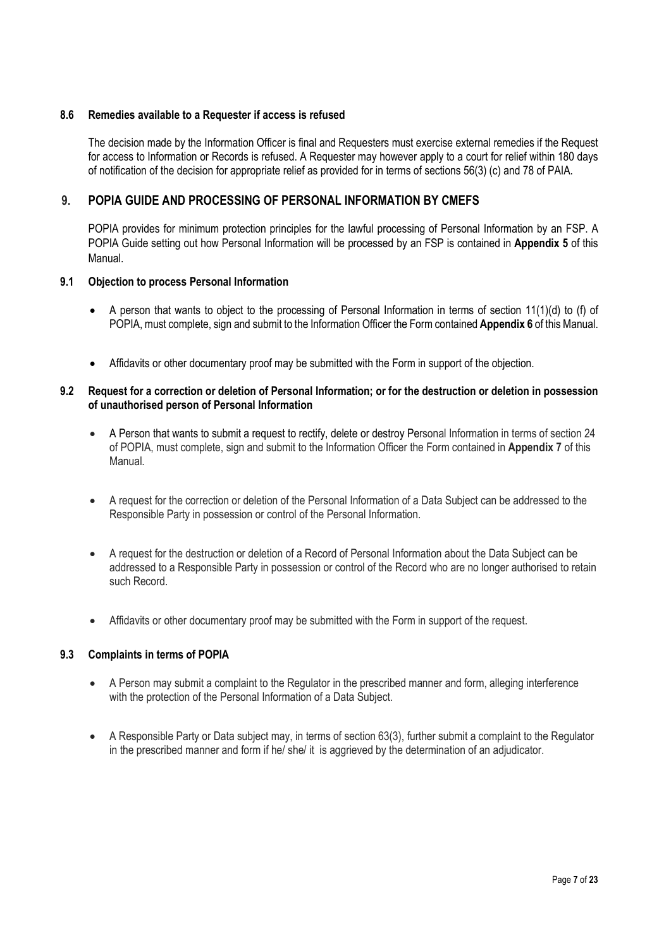## **8.6 Remedies available to a Requester if access is refused**

The decision made by the Information Officer is final and Requesters must exercise external remedies if the Request for access to Information or Records is refused. A Requester may however apply to a court for relief within 180 days of notification of the decision for appropriate relief as provided for in terms of sections 56(3) (c) and 78 of PAIA.

# **9. POPIA GUIDE AND PROCESSING OF PERSONAL INFORMATION BY CMEFS**

POPIA provides for minimum protection principles for the lawful processing of Personal Information by an FSP. A POPIA Guide setting out how Personal Information will be processed by an FSP is contained in **Appendix 5** of this Manual.

#### **9.1 Objection to process Personal Information**

- A person that wants to object to the processing of Personal Information in terms of section 11(1)(d) to (f) of POPIA, must complete, sign and submit to the Information Officer the Form contained **Appendix 6** of this Manual.
- Affidavits or other documentary proof may be submitted with the Form in support of the objection.

#### **9.2 Request for a correction or deletion of Personal Information; or for the destruction or deletion in possession of unauthorised person of Personal Information**

- A Person that wants to submit a request to rectify, delete or destroy Personal Information in terms of section 24 of POPIA, must complete, sign and submit to the Information Officer the Form contained in **Appendix 7** of this Manual.
- A request for the correction or deletion of the Personal Information of a Data Subject can be addressed to the Responsible Party in possession or control of the Personal Information.
- A request for the destruction or deletion of a Record of Personal Information about the Data Subject can be addressed to a Responsible Party in possession or control of the Record who are no longer authorised to retain such Record.
- Affidavits or other documentary proof may be submitted with the Form in support of the request.

## **9.3 Complaints in terms of POPIA**

- A Person may submit a complaint to the Regulator in the prescribed manner and form, alleging interference with the protection of the Personal Information of a Data Subject.
- A Responsible Party or Data subject may, in terms of section 63(3), further submit a complaint to the Regulator in the prescribed manner and form if he/ she/ it is aggrieved by the determination of an adjudicator.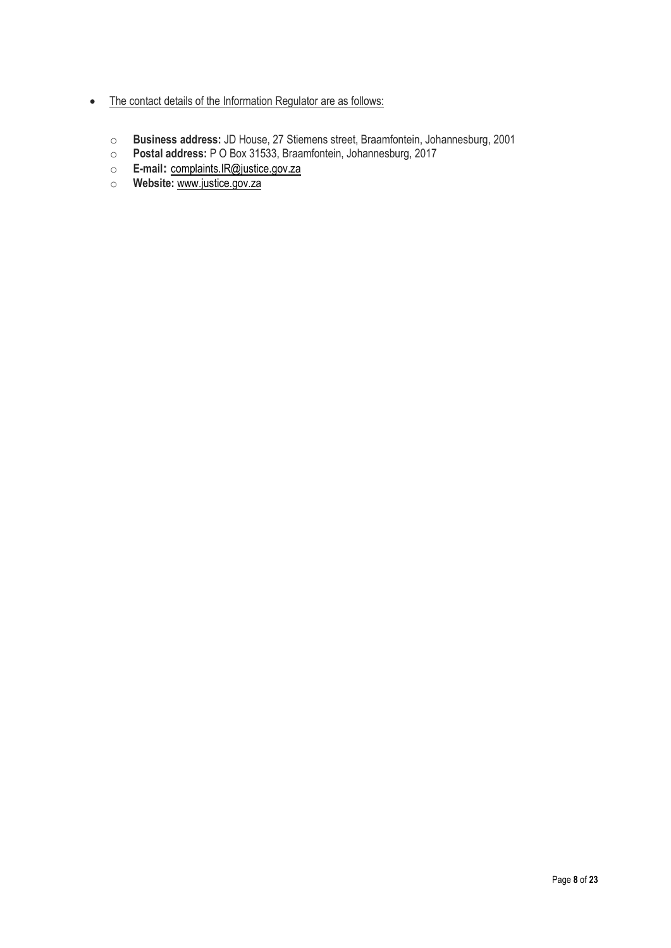- The contact details of the Information Regulator are as follows:
	- o **Business address:** JD House, 27 Stiemens street, Braamfontein, Johannesburg, 2001
	- o **Postal address:** P O Box 31533, Braamfontein, Johannesburg, 2017
	- o **E-mail:** complaints.IR@justice.gov.za
	- o **Website:** www.justice.gov.za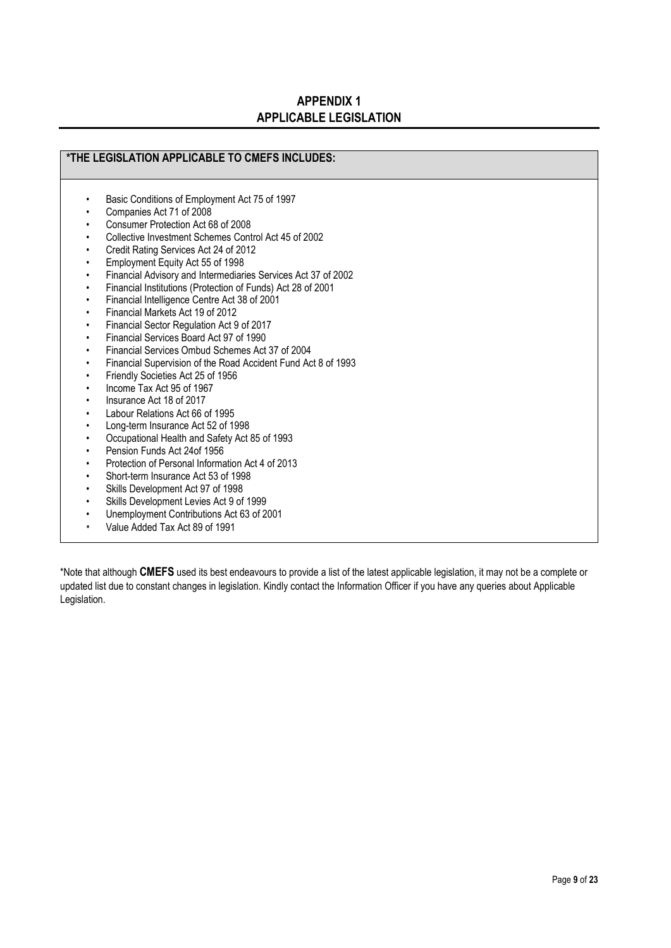# **APPENDIX 1 APPLICABLE LEGISLATION**

# **\*THE LEGISLATION APPLICABLE TO CMEFS INCLUDES:**

- Basic Conditions of Employment Act 75 of 1997
- Companies Act 71 of 2008
- Consumer Protection Act 68 of 2008
- Collective Investment Schemes Control Act 45 of 2002
- Credit Rating Services Act 24 of 2012
- Employment Equity Act 55 of 1998
- Financial Advisory and Intermediaries Services Act 37 of 2002
- Financial Institutions (Protection of Funds) Act 28 of 2001
- Financial Intelligence Centre Act 38 of 2001
- Financial Markets Act 19 of 2012
- Financial Sector Regulation Act 9 of 2017
- Financial Services Board Act 97 of 1990
- Financial Services Ombud Schemes Act 37 of 2004
- Financial Supervision of the Road Accident Fund Act 8 of 1993
- Friendly Societies Act 25 of 1956
- Income Tax Act 95 of 1967
- Insurance Act 18 of 2017
- Labour Relations Act 66 of 1995
- Long-term Insurance Act 52 of 1998
- Occupational Health and Safety Act 85 of 1993
- Pension Funds Act 24of 1956
- Protection of Personal Information Act 4 of 2013
- Short-term Insurance Act 53 of 1998
- Skills Development Act 97 of 1998
- Skills Development Levies Act 9 of 1999
- Unemployment Contributions Act 63 of 2001
- Value Added Tax Act 89 of 1991

\*Note that although **CMEFS** used its best endeavours to provide a list of the latest applicable legislation, it may not be a complete or updated list due to constant changes in legislation. Kindly contact the Information Officer if you have any queries about Applicable Legislation.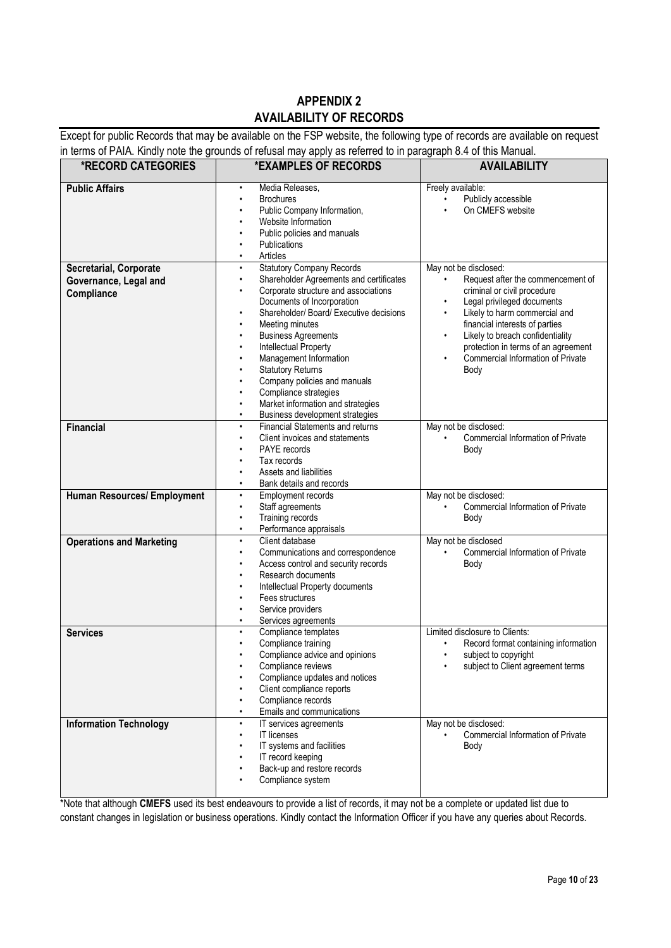# **APPENDIX 2 AVAILABILITY OF RECORDS**

Except for public Records that may be available on the FSP website, the following type of records are available on request in terms of PAIA. Kindly note the grounds of refusal may apply as referred to in paragraph 8.4 of this Manual.

| <b>*RECORD CATEGORIES</b>                                     | in the party of the contract of the contract of the contract of the contract of the contract of the contract of the contract of the contract of the contract of the contract of the contract of the contract of the contract o<br>*EXAMPLES OF RECORDS                                                                                                                                                                                                                                                                                                                            | <b>AVAILABILITY</b>                                                                                                                                                                                                                                                                                                                                                    |
|---------------------------------------------------------------|-----------------------------------------------------------------------------------------------------------------------------------------------------------------------------------------------------------------------------------------------------------------------------------------------------------------------------------------------------------------------------------------------------------------------------------------------------------------------------------------------------------------------------------------------------------------------------------|------------------------------------------------------------------------------------------------------------------------------------------------------------------------------------------------------------------------------------------------------------------------------------------------------------------------------------------------------------------------|
| <b>Public Affairs</b>                                         | Media Releases,<br>$\bullet$<br><b>Brochures</b><br>$\bullet$<br>Public Company Information,<br>Website Information<br>Public policies and manuals<br>Publications<br>Articles                                                                                                                                                                                                                                                                                                                                                                                                    | Freely available:<br>Publicly accessible<br>$\bullet$<br>On CMEFS website                                                                                                                                                                                                                                                                                              |
| Secretarial, Corporate<br>Governance, Legal and<br>Compliance | <b>Statutory Company Records</b><br>$\bullet$<br>Shareholder Agreements and certificates<br>$\bullet$<br>Corporate structure and associations<br>$\bullet$<br>Documents of Incorporation<br>Shareholder/ Board/ Executive decisions<br>$\bullet$<br>Meeting minutes<br><b>Business Agreements</b><br>$\bullet$<br><b>Intellectual Property</b><br>$\bullet$<br>Management Information<br>٠<br><b>Statutory Returns</b><br>Company policies and manuals<br>Compliance strategies<br>Market information and strategies<br>$\bullet$<br>Business development strategies<br>$\bullet$ | May not be disclosed:<br>Request after the commencement of<br>$\bullet$<br>criminal or civil procedure<br>Legal privileged documents<br>$\bullet$<br>Likely to harm commercial and<br>$\bullet$<br>financial interests of parties<br>Likely to breach confidentiality<br>$\bullet$<br>protection in terms of an agreement<br>Commercial Information of Private<br>Body |
| <b>Financial</b>                                              | <b>Financial Statements and returns</b><br>$\bullet$<br>Client invoices and statements<br>PAYE records<br>٠<br>Tax records<br>Assets and liabilities<br>Bank details and records<br>٠                                                                                                                                                                                                                                                                                                                                                                                             | May not be disclosed:<br><b>Commercial Information of Private</b><br>$\bullet$<br>Body                                                                                                                                                                                                                                                                                 |
| Human Resources/ Employment                                   | <b>Employment records</b><br>$\bullet$<br>Staff agreements<br>$\bullet$<br>Training records<br>Performance appraisals<br>$\bullet$                                                                                                                                                                                                                                                                                                                                                                                                                                                | May not be disclosed:<br>Commercial Information of Private<br>Body                                                                                                                                                                                                                                                                                                     |
| <b>Operations and Marketing</b>                               | Client database<br>$\bullet$<br>Communications and correspondence<br>٠<br>Access control and security records<br>$\bullet$<br>Research documents<br>Intellectual Property documents<br>$\bullet$<br>Fees structures<br>Service providers<br>Services agreements                                                                                                                                                                                                                                                                                                                   | May not be disclosed<br>Commercial Information of Private<br>Body                                                                                                                                                                                                                                                                                                      |
| <b>Services</b>                                               | Compliance templates<br>$\bullet$<br>Compliance training<br>Compliance advice and opinions<br>Compliance reviews<br>Compliance updates and notices<br>Client compliance reports<br>Compliance records<br>$\bullet$<br>Emails and communications<br>$\bullet$                                                                                                                                                                                                                                                                                                                      | Limited disclosure to Clients:<br>Record format containing information<br>$\bullet$<br>subject to copyright<br>$\bullet$<br>subject to Client agreement terms                                                                                                                                                                                                          |
| <b>Information Technology</b>                                 | IT services agreements<br>$\bullet$<br><b>IT licenses</b><br>٠<br>IT systems and facilities<br>IT record keeping<br>Back-up and restore records<br>٠<br>Compliance system                                                                                                                                                                                                                                                                                                                                                                                                         | May not be disclosed:<br>Commercial Information of Private<br>Body                                                                                                                                                                                                                                                                                                     |

\*Note that although **CMEFS** used its best endeavours to provide a list of records, it may not be a complete or updated list due to constant changes in legislation or business operations. Kindly contact the Information Officer if you have any queries about Records.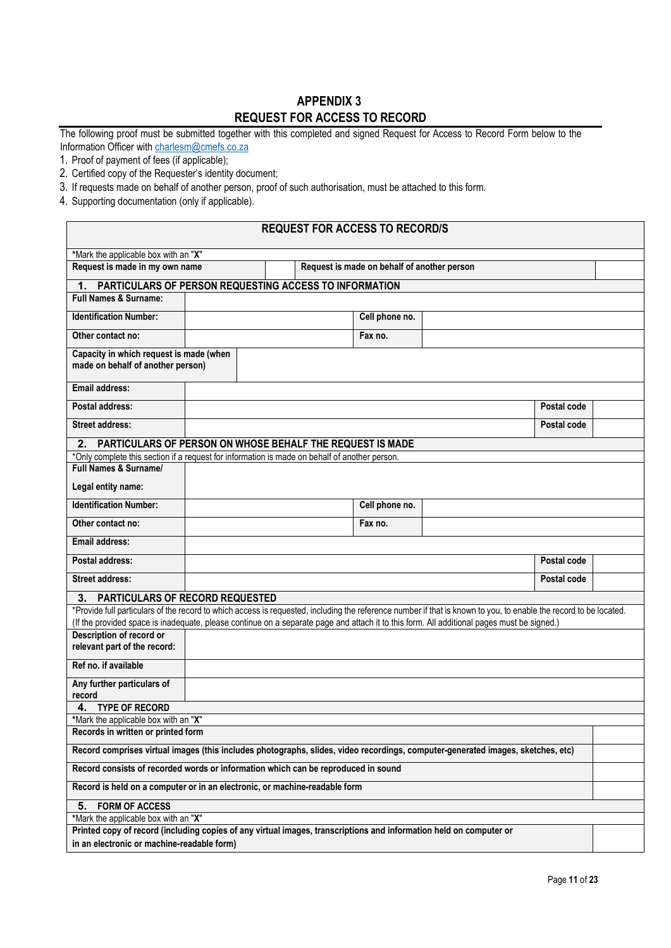# **APPENDIX 3 REQUEST FOR ACCESS TO RECORD**

The following proof must be submitted together with this completed and signed Request for Access to Record Form below to the Information Officer with charlesm@cmefs.co.za

1. Proof of payment of fees (if applicable);

 $\Box$ 

- 2. Certified copy of the Requester's identity document;
- 3. If requests made on behalf of another person, proof of such authorisation, must be attached to this form.
- 4. Supporting documentation (only if applicable).

| <b>REQUEST FOR ACCESS TO RECORD/S</b>                                                                                                                                  |                                                                               |                                                           |                |  |             |  |
|------------------------------------------------------------------------------------------------------------------------------------------------------------------------|-------------------------------------------------------------------------------|-----------------------------------------------------------|----------------|--|-------------|--|
| *Mark the applicable box with an "X"                                                                                                                                   |                                                                               |                                                           |                |  |             |  |
|                                                                                                                                                                        | Request is made in my own name<br>Request is made on behalf of another person |                                                           |                |  |             |  |
| 1.                                                                                                                                                                     |                                                                               | PARTICULARS OF PERSON REQUESTING ACCESS TO INFORMATION    |                |  |             |  |
| <b>Full Names &amp; Surname:</b>                                                                                                                                       |                                                                               |                                                           |                |  |             |  |
| <b>Identification Number:</b>                                                                                                                                          |                                                                               |                                                           | Cell phone no. |  |             |  |
| Other contact no:                                                                                                                                                      |                                                                               |                                                           | Fax no.        |  |             |  |
| Capacity in which request is made (when<br>made on behalf of another person)                                                                                           |                                                                               |                                                           |                |  |             |  |
| <b>Email address:</b>                                                                                                                                                  |                                                                               |                                                           |                |  |             |  |
| Postal address:                                                                                                                                                        |                                                                               |                                                           |                |  | Postal code |  |
| <b>Street address:</b>                                                                                                                                                 |                                                                               |                                                           |                |  | Postal code |  |
| 2.                                                                                                                                                                     |                                                                               | PARTICULARS OF PERSON ON WHOSE BEHALF THE REQUEST IS MADE |                |  |             |  |
| *Only complete this section if a request for information is made on behalf of another person.                                                                          |                                                                               |                                                           |                |  |             |  |
| Full Names & Surname/                                                                                                                                                  |                                                                               |                                                           |                |  |             |  |
| Legal entity name:                                                                                                                                                     |                                                                               |                                                           |                |  |             |  |
| <b>Identification Number:</b>                                                                                                                                          |                                                                               |                                                           | Cell phone no. |  |             |  |
| Other contact no:                                                                                                                                                      |                                                                               |                                                           | Fax no.        |  |             |  |
| <b>Email address:</b>                                                                                                                                                  |                                                                               |                                                           |                |  |             |  |
| Postal address:                                                                                                                                                        |                                                                               |                                                           |                |  | Postal code |  |
| <b>Street address:</b>                                                                                                                                                 |                                                                               |                                                           |                |  | Postal code |  |
| PARTICULARS OF RECORD REQUESTED<br>3.                                                                                                                                  |                                                                               |                                                           |                |  |             |  |
| *Provide full particulars of the record to which access is requested, including the reference number if that is known to you, to enable the record to be located.      |                                                                               |                                                           |                |  |             |  |
| (If the provided space is inadequate, please continue on a separate page and attach it to this form. All additional pages must be signed.)<br>Description of record or |                                                                               |                                                           |                |  |             |  |
| relevant part of the record:                                                                                                                                           |                                                                               |                                                           |                |  |             |  |
| Ref no. if available                                                                                                                                                   |                                                                               |                                                           |                |  |             |  |
| Any further particulars of                                                                                                                                             |                                                                               |                                                           |                |  |             |  |
| record<br><b>TYPE OF RECORD</b><br>4.                                                                                                                                  |                                                                               |                                                           |                |  |             |  |
| *Mark the applicable box with an "X"                                                                                                                                   |                                                                               |                                                           |                |  |             |  |
| Records in written or printed form                                                                                                                                     |                                                                               |                                                           |                |  |             |  |
| Record comprises virtual images (this includes photographs, slides, video recordings, computer-generated images, sketches, etc)                                        |                                                                               |                                                           |                |  |             |  |
| Record consists of recorded words or information which can be reproduced in sound                                                                                      |                                                                               |                                                           |                |  |             |  |
| Record is held on a computer or in an electronic, or machine-readable form                                                                                             |                                                                               |                                                           |                |  |             |  |
| <b>FORM OF ACCESS</b><br>5.                                                                                                                                            |                                                                               |                                                           |                |  |             |  |
| *Mark the applicable box with an "X"                                                                                                                                   |                                                                               |                                                           |                |  |             |  |
| Printed copy of record (including copies of any virtual images, transcriptions and information held on computer or                                                     |                                                                               |                                                           |                |  |             |  |
| in an electronic or machine-readable form)                                                                                                                             |                                                                               |                                                           |                |  |             |  |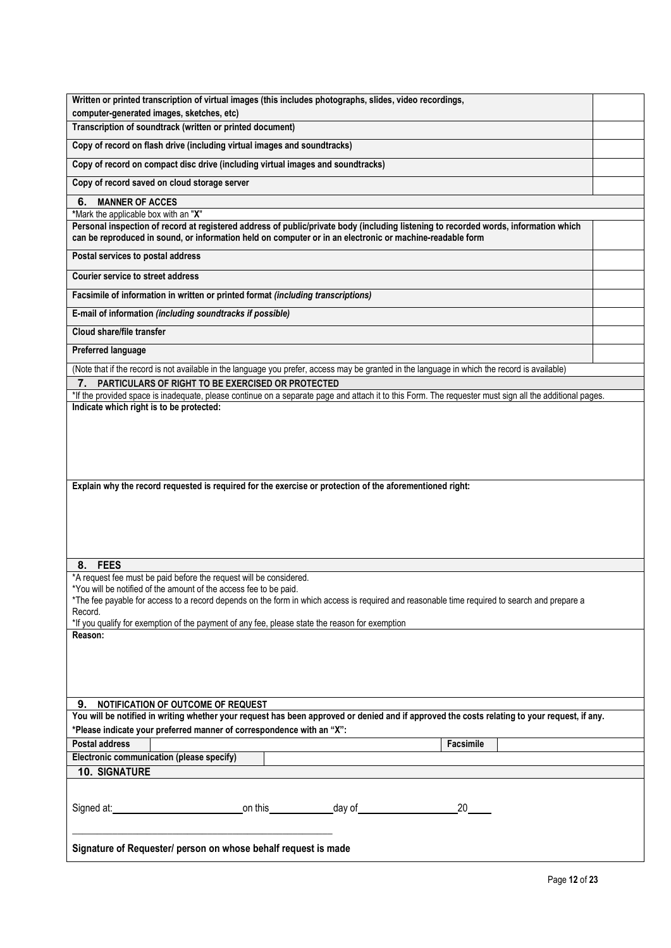| Written or printed transcription of virtual images (this includes photographs, slides, video recordings,                                                                                                                                  |  |  |
|-------------------------------------------------------------------------------------------------------------------------------------------------------------------------------------------------------------------------------------------|--|--|
| computer-generated images, sketches, etc)                                                                                                                                                                                                 |  |  |
| Transcription of soundtrack (written or printed document)                                                                                                                                                                                 |  |  |
| Copy of record on flash drive (including virtual images and soundtracks)                                                                                                                                                                  |  |  |
| Copy of record on compact disc drive (including virtual images and soundtracks)                                                                                                                                                           |  |  |
| Copy of record saved on cloud storage server                                                                                                                                                                                              |  |  |
| <b>MANNER OF ACCES</b><br>6.                                                                                                                                                                                                              |  |  |
| *Mark the applicable box with an "X"<br>Personal inspection of record at registered address of public/private body (including listening to recorded words, information which                                                              |  |  |
| can be reproduced in sound, or information held on computer or in an electronic or machine-readable form                                                                                                                                  |  |  |
| Postal services to postal address                                                                                                                                                                                                         |  |  |
| <b>Courier service to street address</b>                                                                                                                                                                                                  |  |  |
| Facsimile of information in written or printed format (including transcriptions)                                                                                                                                                          |  |  |
| E-mail of information (including soundtracks if possible)                                                                                                                                                                                 |  |  |
| Cloud share/file transfer                                                                                                                                                                                                                 |  |  |
| Preferred language                                                                                                                                                                                                                        |  |  |
| (Note that if the record is not available in the language you prefer, access may be granted in the language in which the record is available)                                                                                             |  |  |
| PARTICULARS OF RIGHT TO BE EXERCISED OR PROTECTED                                                                                                                                                                                         |  |  |
| *If the provided space is inadequate, please continue on a separate page and attach it to this Form. The requester must sign all the additional pages.<br>Indicate which right is to be protected:                                        |  |  |
|                                                                                                                                                                                                                                           |  |  |
| Explain why the record requested is required for the exercise or protection of the aforementioned right:                                                                                                                                  |  |  |
|                                                                                                                                                                                                                                           |  |  |
| <b>FEES</b><br>8.<br>*A request fee must be paid before the request will be considered.                                                                                                                                                   |  |  |
| *You will be notified of the amount of the access fee to be paid.                                                                                                                                                                         |  |  |
| *The fee payable for access to a record depends on the form in which access is required and reasonable time required to search and prepare a                                                                                              |  |  |
| Record.                                                                                                                                                                                                                                   |  |  |
| *If you qualify for exemption of the payment of any fee, please state the reason for exemption<br>Reason:                                                                                                                                 |  |  |
|                                                                                                                                                                                                                                           |  |  |
|                                                                                                                                                                                                                                           |  |  |
|                                                                                                                                                                                                                                           |  |  |
| NOTIFICATION OF OUTCOME OF REQUEST<br>9.                                                                                                                                                                                                  |  |  |
| You will be notified in writing whether your request has been approved or denied and if approved the costs relating to your request, if any.                                                                                              |  |  |
| *Please indicate your preferred manner of correspondence with an "X":                                                                                                                                                                     |  |  |
| <b>Postal address</b><br>Facsimile<br>Electronic communication (please specify)                                                                                                                                                           |  |  |
| <b>10. SIGNATURE</b>                                                                                                                                                                                                                      |  |  |
|                                                                                                                                                                                                                                           |  |  |
| Signed at: <u>contract and a control of</u> this control and control and control of the control of the control of the control of the control of the control of the control of the control of the control of the control of the cont<br>20 |  |  |
| Signature of Requester/ person on whose behalf request is made                                                                                                                                                                            |  |  |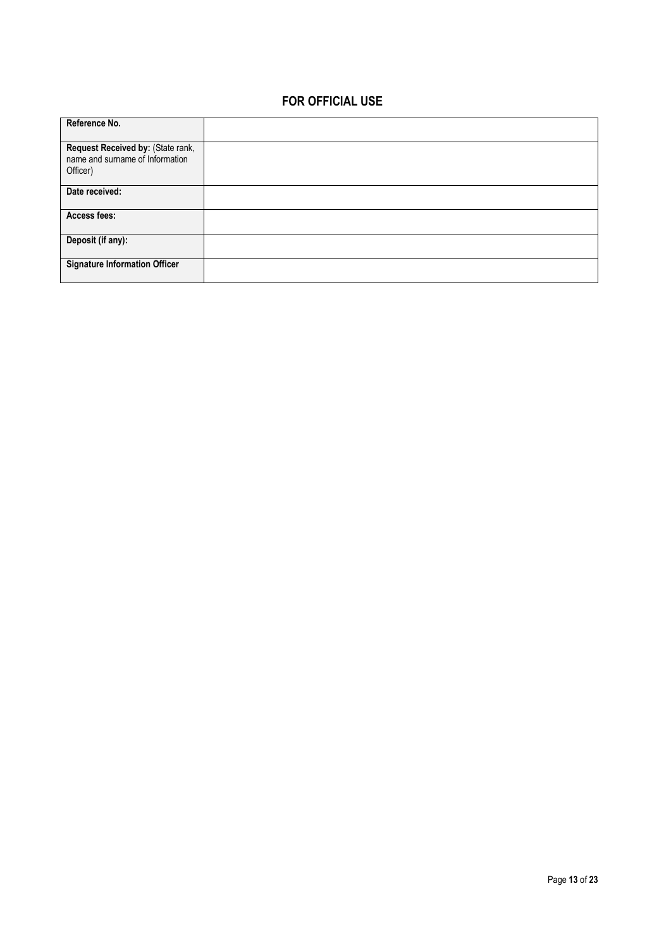# **FOR OFFICIAL USE**

| Reference No.                        |  |
|--------------------------------------|--|
|                                      |  |
|                                      |  |
| Request Received by: (State rank,    |  |
| name and surname of Information      |  |
|                                      |  |
| Officer)                             |  |
|                                      |  |
| Date received:                       |  |
|                                      |  |
|                                      |  |
| Access fees:                         |  |
|                                      |  |
| Deposit (if any):                    |  |
|                                      |  |
|                                      |  |
| <b>Signature Information Officer</b> |  |
|                                      |  |
|                                      |  |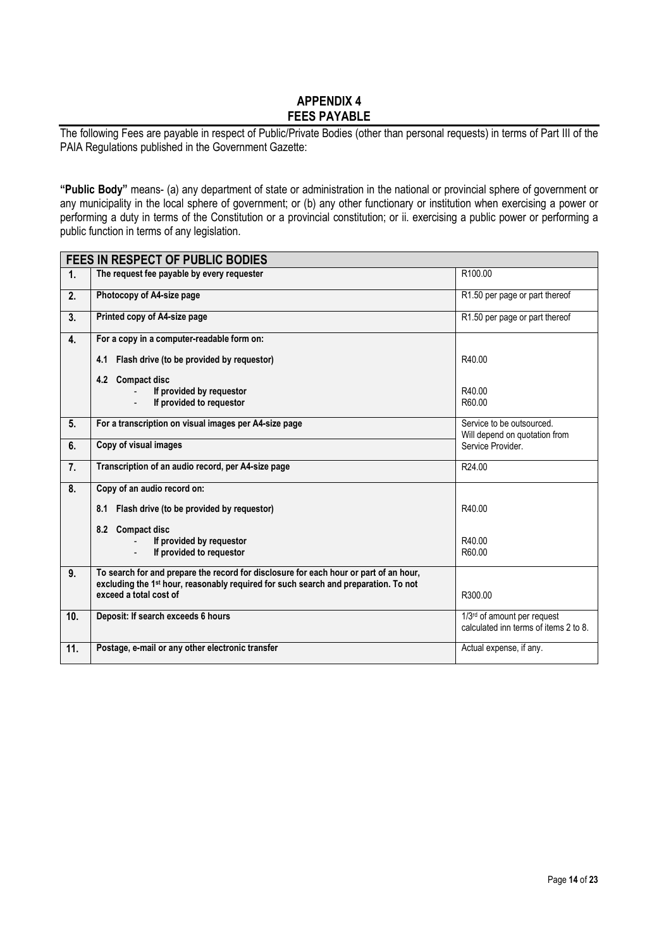# **APPENDIX 4 FEES PAYABLE**

The following Fees are payable in respect of Public/Private Bodies (other than personal requests) in terms of Part III of the PAIA Regulations published in the Government Gazette:

**"Public Body"** means- (a) any department of state or administration in the national or provincial sphere of government or any municipality in the local sphere of government; or (b) any other functionary or institution when exercising a power or performing a duty in terms of the Constitution or a provincial constitution; or ii. exercising a public power or performing a public function in terms of any legislation.

|     | <b>FEES IN RESPECT OF PUBLIC BODIES</b>                                                                                   |                                                                      |
|-----|---------------------------------------------------------------------------------------------------------------------------|----------------------------------------------------------------------|
| 1.  | The request fee payable by every requester                                                                                | R100.00                                                              |
| 2.  | Photocopy of A4-size page                                                                                                 | R1.50 per page or part thereof                                       |
| 3.  | Printed copy of A4-size page                                                                                              | R <sub>1.50</sub> per page or part thereof                           |
| 4.  | For a copy in a computer-readable form on:                                                                                |                                                                      |
|     | Flash drive (to be provided by requestor)<br>4.1                                                                          | R40.00                                                               |
|     | 4.2<br><b>Compact disc</b>                                                                                                |                                                                      |
|     | If provided by requestor                                                                                                  | R40.00                                                               |
|     | If provided to requestor                                                                                                  | R60.00                                                               |
| 5.  | For a transcription on visual images per A4-size page                                                                     | Service to be outsourced.<br>Will depend on quotation from           |
| 6.  | Copy of visual images                                                                                                     | Service Provider.                                                    |
| 7.  | Transcription of an audio record, per A4-size page                                                                        | R <sub>24.00</sub>                                                   |
| 8.  | Copy of an audio record on:                                                                                               |                                                                      |
|     | Flash drive (to be provided by requestor)<br>8.1                                                                          | R40.00                                                               |
|     | 8.2<br><b>Compact disc</b>                                                                                                |                                                                      |
|     | If provided by requestor                                                                                                  | R40.00                                                               |
|     | If provided to requestor                                                                                                  | R60.00                                                               |
| 9.  | To search for and prepare the record for disclosure for each hour or part of an hour,                                     |                                                                      |
|     | excluding the 1 <sup>st</sup> hour, reasonably required for such search and preparation. To not<br>exceed a total cost of | R300.00                                                              |
| 10. | Deposit: If search exceeds 6 hours                                                                                        | 1/3rd of amount per request<br>calculated inn terms of items 2 to 8. |
|     |                                                                                                                           |                                                                      |
| 11. | Postage, e-mail or any other electronic transfer                                                                          | Actual expense, if any.                                              |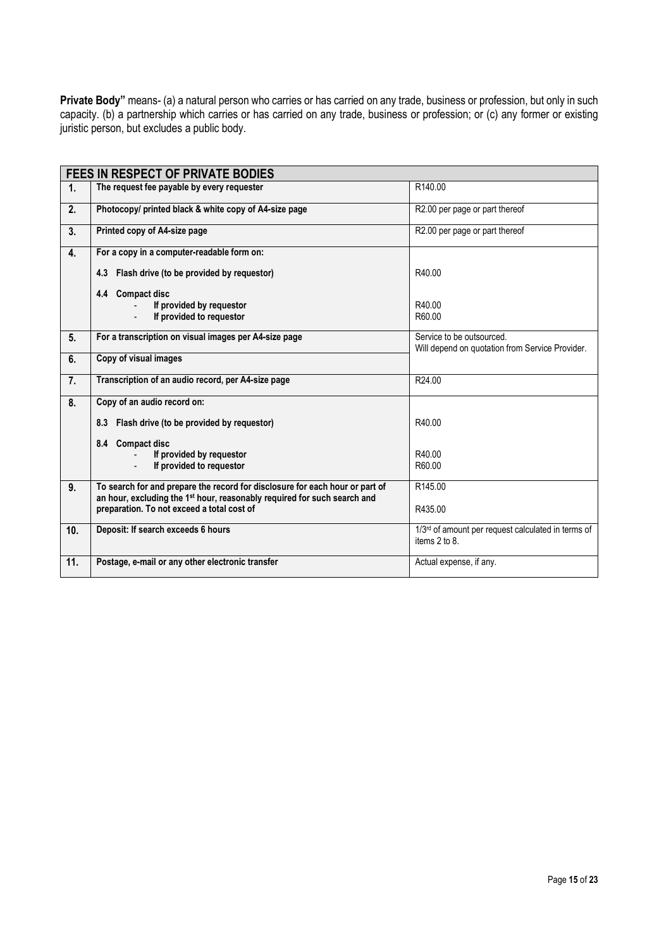**Private Body"** means- (a) a natural person who carries or has carried on any trade, business or profession, but only in such capacity. (b) a partnership which carries or has carried on any trade, business or profession; or (c) any former or existing juristic person, but excludes a public body.

|                  | <b>FEES IN RESPECT OF PRIVATE BODIES</b>                                                                                                                 |                                                                                 |
|------------------|----------------------------------------------------------------------------------------------------------------------------------------------------------|---------------------------------------------------------------------------------|
| 1.               | The request fee payable by every requester                                                                                                               | R140.00                                                                         |
| 2.               | Photocopy/ printed black & white copy of A4-size page                                                                                                    | R2.00 per page or part thereof                                                  |
| $\overline{3}$ . | Printed copy of A4-size page                                                                                                                             | R2.00 per page or part thereof                                                  |
| 4.               | For a copy in a computer-readable form on:                                                                                                               |                                                                                 |
|                  | Flash drive (to be provided by requestor)<br>4.3                                                                                                         | R40.00                                                                          |
|                  | 4.4 Compact disc                                                                                                                                         |                                                                                 |
|                  | If provided by requestor                                                                                                                                 | R40.00                                                                          |
|                  | If provided to requestor                                                                                                                                 | R60.00                                                                          |
| 5.               | For a transcription on visual images per A4-size page                                                                                                    | Service to be outsourced.<br>Will depend on quotation from Service Provider.    |
| 6.               | Copy of visual images                                                                                                                                    |                                                                                 |
| 7.               | Transcription of an audio record, per A4-size page                                                                                                       | R24.00                                                                          |
| 8.               | Copy of an audio record on:                                                                                                                              |                                                                                 |
|                  | 8.3 Flash drive (to be provided by requestor)                                                                                                            | R40.00                                                                          |
|                  | 8.4 Compact disc                                                                                                                                         |                                                                                 |
|                  | If provided by requestor                                                                                                                                 | R40.00                                                                          |
|                  | If provided to requestor                                                                                                                                 | R60.00                                                                          |
| 9.               | To search for and prepare the record for disclosure for each hour or part of<br>an hour, excluding the 1st hour, reasonably required for such search and | R <sub>145.00</sub>                                                             |
|                  | preparation. To not exceed a total cost of                                                                                                               | R435.00                                                                         |
| 10.              | Deposit: If search exceeds 6 hours                                                                                                                       | 1/3 <sup>rd</sup> of amount per request calculated in terms of<br>items 2 to 8. |
| 11.              | Postage, e-mail or any other electronic transfer                                                                                                         | Actual expense, if any.                                                         |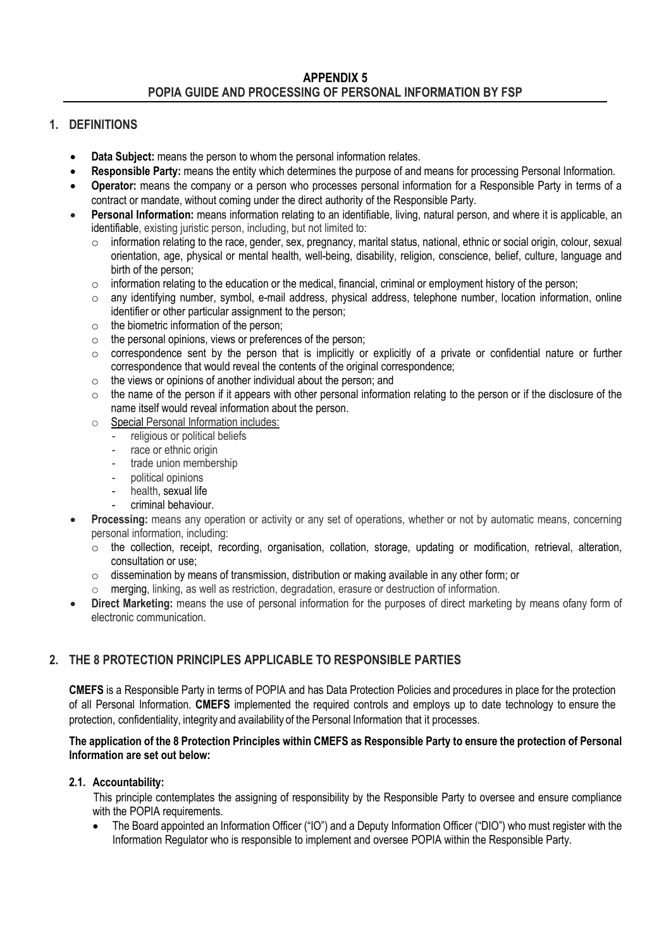# **APPENDIX 5 POPIA GUIDE AND PROCESSING OF PERSONAL INFORMATION BY FSP**

# **1. DEFINITIONS**

- **Data Subject:** means the person to whom the personal information relates.
- **Responsible Party:** means the entity which determines the purpose of and means for processing Personal Information.
- **Operator:** means the company or a person who processes personal information for a Responsible Party in terms of a contract or mandate, without coming under the direct authority of the Responsible Party.
- **Personal Information:** means information relating to an identifiable, living, natural person, and where it is applicable, an identifiable, existing juristic person, including, but not limited to:
	- $\circ$  information relating to the race, gender, sex, pregnancy, marital status, national, ethnic or social origin, colour, sexual orientation, age, physical or mental health, well-being, disability, religion, conscience, belief, culture, language and birth of the person;
	- o information relating to the education or the medical, financial, criminal or employment history of the person;
	- $\circ$  any identifying number, symbol, e-mail address, physical address, telephone number, location information, online identifier or other particular assignment to the person;
	- $\circ$  the biometric information of the person;
	- $\circ$  the personal opinions, views or preferences of the person;
	- $\circ$  correspondence sent by the person that is implicitly or explicitly of a private or confidential nature or further correspondence that would reveal the contents of the original correspondence;
	- o the views or opinions of another individual about the person; and
	- $\circ$  the name of the person if it appears with other personal information relating to the person or if the disclosure of the name itself would reveal information about the person.
	- o Special Personal Information includes:
		- religious or political beliefs
		- race or ethnic origin
		- trade union membership
		- political opinions
		- health, sexual life
		- criminal behaviour.
- **Processing:** means any operation or activity or any set of operations, whether or not by automatic means, concerning personal information, including:
	- o the collection, receipt, recording, organisation, collation, storage, updating or modification, retrieval, alteration, consultation or use;
	- $\circ$  dissemination by means of transmission, distribution or making available in any other form; or
	- o merging, linking, as well as restriction, degradation, erasure or destruction of information.
- **Direct Marketing:** means the use of personal information for the purposes of direct marketing by means ofany form of electronic communication.

# **2. THE 8 PROTECTION PRINCIPLES APPLICABLE TO RESPONSIBLE PARTIES**

**CMEFS** is a Responsible Party in terms of POPIA and has Data Protection Policies and procedures in place for the protection of all Personal Information. **CMEFS** implemented the required controls and employs up to date technology to ensure the protection, confidentiality, integrity and availability of the Personal Information that it processes.

## **The application of the 8 Protection Principles within CMEFS as Responsible Party to ensure the protection of Personal Information are set out below:**

# **2.1. Accountability:**

This principle contemplates the assigning of responsibility by the Responsible Party to oversee and ensure compliance with the POPIA requirements.

• The Board appointed an Information Officer ("IO") and a Deputy Information Officer ("DIO") who must register with the Information Regulator who is responsible to implement and oversee POPIA within the Responsible Party.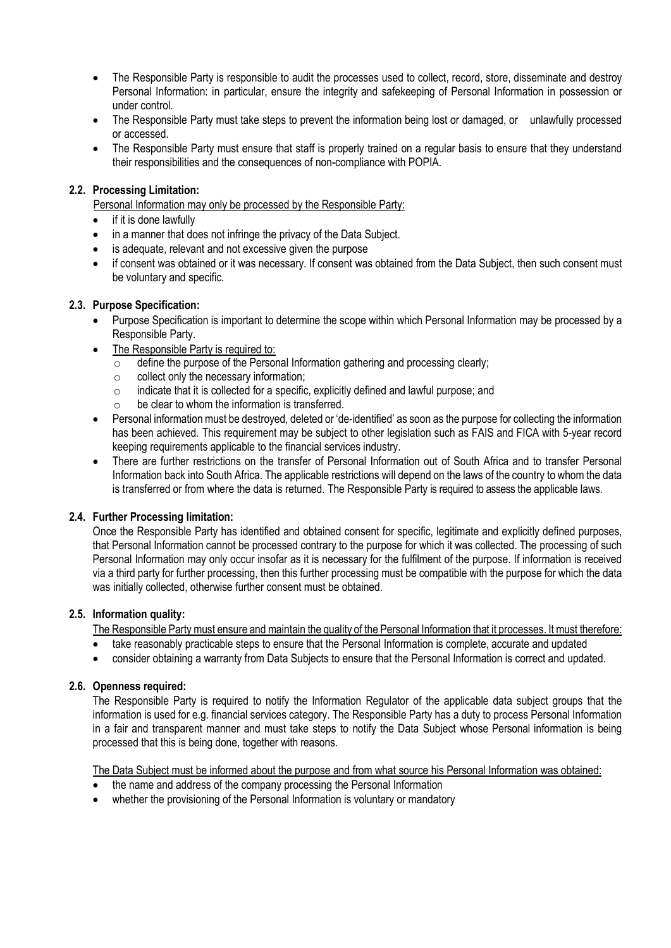- The Responsible Party is responsible to audit the processes used to collect, record, store, disseminate and destroy Personal Information: in particular, ensure the integrity and safekeeping of Personal Information in possession or under control.
- The Responsible Party must take steps to prevent the information being lost or damaged, or unlawfully processed or accessed.
- The Responsible Party must ensure that staff is properly trained on a regular basis to ensure that they understand their responsibilities and the consequences of non-compliance with POPIA.

# **2.2. Processing Limitation:**

Personal Information may only be processed by the Responsible Party:

- if it is done lawfully
- in a manner that does not infringe the privacy of the Data Subject.
- is adequate, relevant and not excessive given the purpose
- if consent was obtained or it was necessary. If consent was obtained from the Data Subject, then such consent must be voluntary and specific.

# **2.3. Purpose Specification:**

- Purpose Specification is important to determine the scope within which Personal Information may be processed by a Responsible Party.
- The Responsible Party is required to:
	- o define the purpose of the Personal Information gathering and processing clearly;
	- o collect only the necessary information;
	- o indicate that it is collected for a specific, explicitly defined and lawful purpose; and
	- be clear to whom the information is transferred.
- Personal information must be destroyed, deleted or 'de-identified' as soon as the purpose for collecting the information has been achieved. This requirement may be subject to other legislation such as FAIS and FICA with 5-year record keeping requirements applicable to the financial services industry.
- There are further restrictions on the transfer of Personal Information out of South Africa and to transfer Personal Information back into South Africa. The applicable restrictions will depend on the laws of the country to whom the data is transferred or from where the data is returned. The Responsible Party is required to assess the applicable laws.

# **2.4. Further Processing limitation:**

Once the Responsible Party has identified and obtained consent for specific, legitimate and explicitly defined purposes, that Personal Information cannot be processed contrary to the purpose for which it was collected. The processing of such Personal Information may only occur insofar as it is necessary for the fulfilment of the purpose. If information is received via a third party for further processing, then this further processing must be compatible with the purpose for which the data was initially collected, otherwise further consent must be obtained.

# **2.5. Information quality:**

The Responsible Party must ensure and maintain the quality of the Personal Information that it processes. It must therefore:

- take reasonably practicable steps to ensure that the Personal Information is complete, accurate and updated
- consider obtaining a warranty from Data Subjects to ensure that the Personal Information is correct and updated.

# **2.6. Openness required:**

The Responsible Party is required to notify the Information Regulator of the applicable data subject groups that the information is used for e.g. financial services category. The Responsible Party has a duty to process Personal Information in a fair and transparent manner and must take steps to notify the Data Subject whose Personal information is being processed that this is being done, together with reasons.

The Data Subject must be informed about the purpose and from what source his Personal Information was obtained:

- the name and address of the company processing the Personal Information
- whether the provisioning of the Personal Information is voluntary or mandatory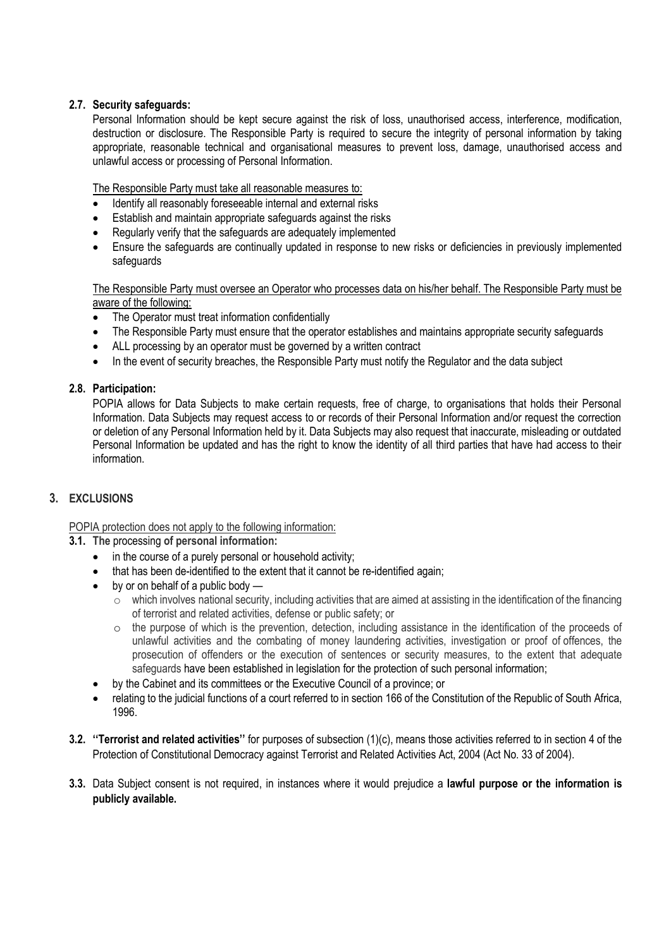# **2.7. Security safeguards:**

Personal Information should be kept secure against the risk of loss, unauthorised access, interference, modification, destruction or disclosure. The Responsible Party is required to secure the integrity of personal information by taking appropriate, reasonable technical and organisational measures to prevent loss, damage, unauthorised access and unlawful access or processing of Personal Information.

The Responsible Party must take all reasonable measures to:

- Identify all reasonably foreseeable internal and external risks
- Establish and maintain appropriate safeguards against the risks
- Regularly verify that the safeguards are adequately implemented
- Ensure the safeguards are continually updated in response to new risks or deficiencies in previously implemented safeguards

The Responsible Party must oversee an Operator who processes data on his/her behalf. The Responsible Party must be aware of the following:

- The Operator must treat information confidentially
- The Responsible Party must ensure that the operator establishes and maintains appropriate security safeguards
- ALL processing by an operator must be governed by a written contract
- In the event of security breaches, the Responsible Party must notify the Regulator and the data subject

## **2.8. Participation:**

POPIA allows for Data Subjects to make certain requests, free of charge, to organisations that holds their Personal Information. Data Subjects may request access to or records of their Personal Information and/or request the correction or deletion of any Personal Information held by it. Data Subjects may also request that inaccurate, misleading or outdated Personal Information be updated and has the right to know the identity of all third parties that have had access to their information.

# **3. EXCLUSIONS**

POPIA protection does not apply to the following information:

- **3.1. The** processing **of personal information:** 
	- in the course of a purely personal or household activity;
	- that has been de-identified to the extent that it cannot be re-identified again;
	- by or on behalf of a public body
		- $\circ$  which involves national security, including activities that are aimed at assisting in the identification of the financing of terrorist and related activities, defense or public safety; or
		- $\circ$  the purpose of which is the prevention, detection, including assistance in the identification of the proceeds of unlawful activities and the combating of money laundering activities, investigation or proof of offences, the prosecution of offenders or the execution of sentences or security measures, to the extent that adequate safeguards have been established in legislation for the protection of such personal information;
	- by the Cabinet and its committees or the Executive Council of a province; or
	- relating to the judicial functions of a court referred to in section 166 of the Constitution of the Republic of South Africa, 1996.
- **3.2. ''Terrorist and related activities''** for purposes of subsection (1)(c), means those activities referred to in section 4 of the Protection of Constitutional Democracy against Terrorist and Related Activities Act, 2004 (Act No. 33 of 2004).
- **3.3.** Data Subject consent is not required, in instances where it would prejudice a **lawful purpose or the information is publicly available.**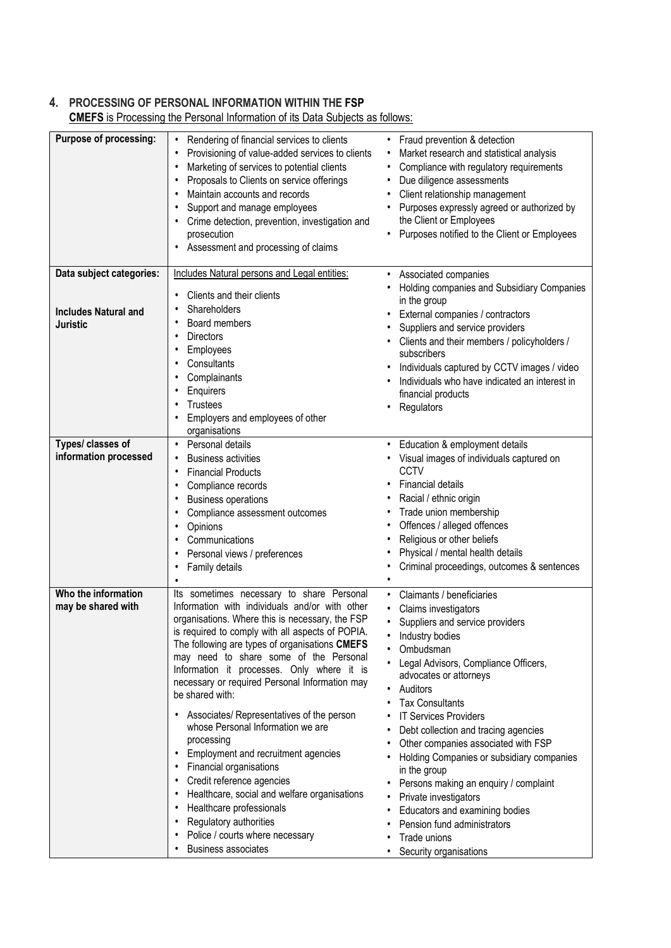# **4. PROCESSING OF PERSONAL INFORMATION WITHIN THE FSP**

| Purpose of processing:                                                                       | Rendering of financial services to clients<br>٠<br>Provisioning of value-added services to clients<br>٠<br>Marketing of services to potential clients<br>$\bullet$<br>Proposals to Clients on service offerings<br>٠<br>Maintain accounts and records<br>٠<br>Support and manage employees<br>٠<br>Crime detection, prevention, investigation and<br>٠<br>prosecution<br>Assessment and processing of claims                                                                                                                                                                                                              | Fraud prevention & detection<br>$\bullet$<br>Market research and statistical analysis<br>$\bullet$<br>Compliance with regulatory requirements<br>$\bullet$<br>Due diligence assessments<br>$\bullet$<br>Client relationship management<br>$\bullet$<br>Purposes expressly agreed or authorized by<br>the Client or Employees<br>Purposes notified to the Client or Employees<br>٠                                                                                                                                                                                                                                                                                                                                        |
|----------------------------------------------------------------------------------------------|---------------------------------------------------------------------------------------------------------------------------------------------------------------------------------------------------------------------------------------------------------------------------------------------------------------------------------------------------------------------------------------------------------------------------------------------------------------------------------------------------------------------------------------------------------------------------------------------------------------------------|--------------------------------------------------------------------------------------------------------------------------------------------------------------------------------------------------------------------------------------------------------------------------------------------------------------------------------------------------------------------------------------------------------------------------------------------------------------------------------------------------------------------------------------------------------------------------------------------------------------------------------------------------------------------------------------------------------------------------|
| Data subject categories:                                                                     | Includes Natural persons and Legal entities:                                                                                                                                                                                                                                                                                                                                                                                                                                                                                                                                                                              | Associated companies<br>$\bullet$                                                                                                                                                                                                                                                                                                                                                                                                                                                                                                                                                                                                                                                                                        |
| <b>Includes Natural and</b><br><b>Juristic</b><br>Types/ classes of<br>information processed | Clients and their clients<br>٠<br>Shareholders<br>٠<br>Board members<br>٠<br><b>Directors</b><br>٠<br>Employees<br>٠<br>Consultants<br>٠<br>Complainants<br>٠<br>Enquirers<br>٠<br>Trustees<br>٠<br>Employers and employees of other<br>$\bullet$<br>organisations<br>Personal details<br>$\bullet$<br><b>Business activities</b><br>٠<br><b>Financial Products</b><br>٠<br>Compliance records<br>$\bullet$<br><b>Business operations</b><br>$\bullet$<br>Compliance assessment outcomes<br>٠<br>Opinions<br>$\bullet$<br>Communications<br>٠<br>Personal views / preferences<br>$\bullet$<br>Family details<br>$\bullet$ | Holding companies and Subsidiary Companies<br>in the group<br>External companies / contractors<br>$\bullet$<br>Suppliers and service providers<br>Clients and their members / policyholders /<br>subscribers<br>Individuals captured by CCTV images / video<br>$\bullet$<br>Individuals who have indicated an interest in<br>financial products<br>Regulators<br>Education & employment details<br>$\bullet$<br>Visual images of individuals captured on<br>CCTV<br><b>Financial details</b><br>Racial / ethnic origin<br>Trade union membership<br>٠<br>Offences / alleged offences<br>٠<br>Religious or other beliefs<br>٠<br>Physical / mental health details<br>٠<br>Criminal proceedings, outcomes & sentences<br>٠ |
|                                                                                              |                                                                                                                                                                                                                                                                                                                                                                                                                                                                                                                                                                                                                           | $\bullet$                                                                                                                                                                                                                                                                                                                                                                                                                                                                                                                                                                                                                                                                                                                |
| Who the information<br>may be shared with                                                    | Its sometimes necessary to share Personal<br>Information with individuals and/or with other<br>organisations. Where this is necessary, the FSP<br>is required to comply with all aspects of POPIA.<br>The following are types of organisations CMEFS<br>may need to share some of the Personal<br>Information it processes. Only where it is<br>necessary or required Personal Information may<br>be shared with:                                                                                                                                                                                                         | Claimants / beneficiaries<br>$\bullet$<br>Claims investigators<br>٠<br>Suppliers and service providers<br>٠<br>Industry bodies<br>Ombudsman<br>Legal Advisors, Compliance Officers,<br>advocates or attorneys<br>Auditors<br>$\bullet$<br><b>Tax Consultants</b>                                                                                                                                                                                                                                                                                                                                                                                                                                                         |
|                                                                                              | Associates/ Representatives of the person<br>٠<br>whose Personal Information we are<br>processing<br>Employment and recruitment agencies<br>٠<br>Financial organisations<br>٠<br>Credit reference agencies<br>٠<br>Healthcare, social and welfare organisations<br>٠<br>Healthcare professionals<br>٠<br>Regulatory authorities<br>٠<br>Police / courts where necessary<br><b>Business associates</b>                                                                                                                                                                                                                     | <b>IT Services Providers</b><br>Debt collection and tracing agencies<br>Other companies associated with FSP<br>Holding Companies or subsidiary companies<br>in the group<br>Persons making an enquiry / complaint<br>Private investigators<br>٠<br>Educators and examining bodies<br>٠<br>Pension fund administrators<br>Trade unions<br>Security organisations                                                                                                                                                                                                                                                                                                                                                          |

**CMEFS** is Processing the Personal Information of its Data Subjects as follows: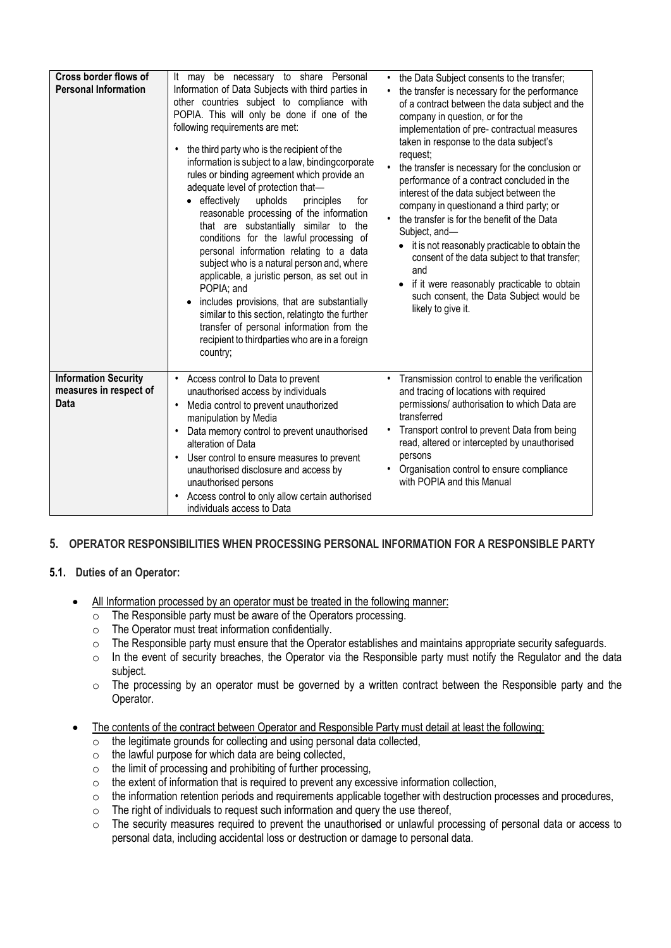| Cross border flows of<br><b>Personal Information</b>                 | It may be necessary to share Personal<br>Information of Data Subjects with third parties in<br>other countries subject to compliance with<br>POPIA. This will only be done if one of the<br>following requirements are met:<br>the third party who is the recipient of the<br>$\bullet$<br>information is subject to a law, bindingcorporate<br>rules or binding agreement which provide an<br>adequate level of protection that-<br>effectively<br>upholds<br>principles<br>for<br>reasonable processing of the information<br>that are substantially similar to<br>the<br>conditions for the lawful processing of<br>personal information relating to a data<br>subject who is a natural person and, where<br>applicable, a juristic person, as set out in<br>POPIA; and<br>includes provisions, that are substantially<br>similar to this section, relatingto the further<br>transfer of personal information from the<br>recipient to thirdparties who are in a foreign<br>country; | • the Data Subject consents to the transfer;<br>the transfer is necessary for the performance<br>of a contract between the data subject and the<br>company in question, or for the<br>implementation of pre- contractual measures<br>taken in response to the data subject's<br>request;<br>the transfer is necessary for the conclusion or<br>performance of a contract concluded in the<br>interest of the data subject between the<br>company in questionand a third party; or<br>the transfer is for the benefit of the Data<br>Subject, and-<br>it is not reasonably practicable to obtain the<br>$\bullet$<br>consent of the data subject to that transfer;<br>and<br>if it were reasonably practicable to obtain<br>such consent, the Data Subject would be<br>likely to give it. |
|----------------------------------------------------------------------|-----------------------------------------------------------------------------------------------------------------------------------------------------------------------------------------------------------------------------------------------------------------------------------------------------------------------------------------------------------------------------------------------------------------------------------------------------------------------------------------------------------------------------------------------------------------------------------------------------------------------------------------------------------------------------------------------------------------------------------------------------------------------------------------------------------------------------------------------------------------------------------------------------------------------------------------------------------------------------------------|------------------------------------------------------------------------------------------------------------------------------------------------------------------------------------------------------------------------------------------------------------------------------------------------------------------------------------------------------------------------------------------------------------------------------------------------------------------------------------------------------------------------------------------------------------------------------------------------------------------------------------------------------------------------------------------------------------------------------------------------------------------------------------------|
| <b>Information Security</b><br>measures in respect of<br><b>Data</b> | Access control to Data to prevent<br>unauthorised access by individuals<br>Media control to prevent unauthorized<br>$\bullet$<br>manipulation by Media<br>Data memory control to prevent unauthorised<br>$\bullet$<br>alteration of Data<br>User control to ensure measures to prevent<br>$\bullet$<br>unauthorised disclosure and access by<br>unauthorised persons<br>Access control to only allow certain authorised<br>individuals access to Data                                                                                                                                                                                                                                                                                                                                                                                                                                                                                                                                   | • Transmission control to enable the verification<br>and tracing of locations with required<br>permissions/ authorisation to which Data are<br>transferred<br>Transport control to prevent Data from being<br>read, altered or intercepted by unauthorised<br>persons<br>Organisation control to ensure compliance<br>with POPIA and this Manual                                                                                                                                                                                                                                                                                                                                                                                                                                         |

# **5. OPERATOR RESPONSIBILITIES WHEN PROCESSING PERSONAL INFORMATION FOR A RESPONSIBLE PARTY**

# **5.1. Duties of an Operator:**

- All Information processed by an operator must be treated in the following manner:
	- $\overline{\circ}$  The Responsible party must be aware of the Operators processing.
	- o The Operator must treat information confidentially.
	- o The Responsible party must ensure that the Operator establishes and maintains appropriate security safeguards.
	- o In the event of security breaches, the Operator via the Responsible party must notify the Regulator and the data subject.
	- $\circ$  The processing by an operator must be governed by a written contract between the Responsible party and the Operator.
- The contents of the contract between Operator and Responsible Party must detail at least the following:
	- $\overline{\circ}$  the legitimate grounds for collecting and using personal data collected,
	- $\circ$  the lawful purpose for which data are being collected,
	- $\circ$  the limit of processing and prohibiting of further processing,
	- $\circ$  the extent of information that is required to prevent any excessive information collection,
	- o the information retention periods and requirements applicable together with destruction processes and procedures,
	- o The right of individuals to request such information and query the use thereof,
	- $\circ$  The security measures required to prevent the unauthorised or unlawful processing of personal data or access to personal data, including accidental loss or destruction or damage to personal data.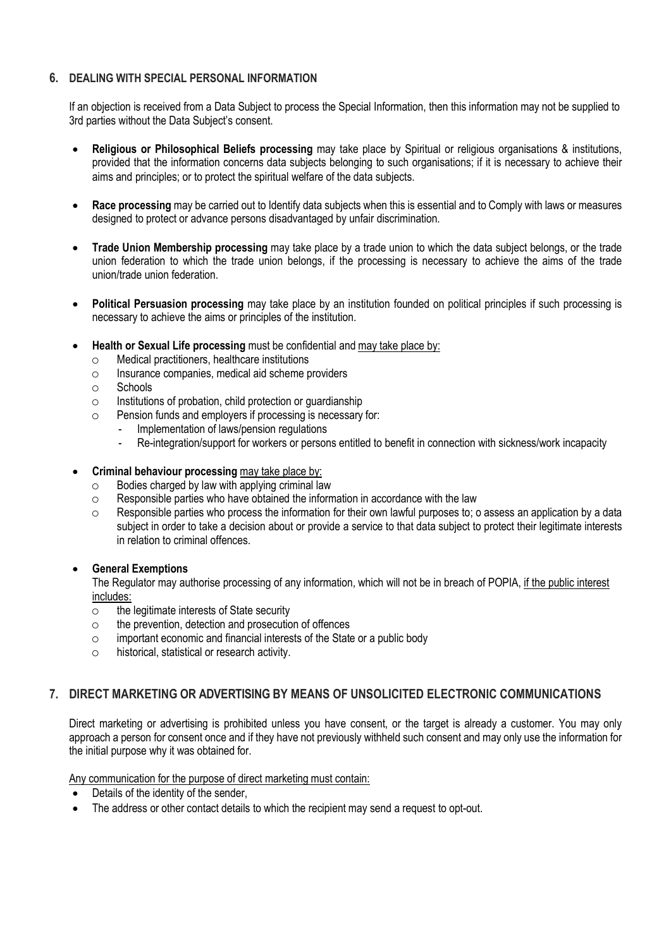# **6. DEALING WITH SPECIAL PERSONAL INFORMATION**

If an objection is received from a Data Subject to process the Special Information, then this information may not be supplied to 3rd parties without the Data Subiect's consent.

- **Religious or Philosophical Beliefs processing** may take place by Spiritual or religious organisations & institutions, provided that the information concerns data subjects belonging to such organisations; if it is necessary to achieve their aims and principles; or to protect the spiritual welfare of the data subjects.
- **Race processing** may be carried out to Identify data subjects when this is essential and to Comply with laws or measures designed to protect or advance persons disadvantaged by unfair discrimination.
- **Trade Union Membership processing** may take place by a trade union to which the data subject belongs, or the trade union federation to which the trade union belongs, if the processing is necessary to achieve the aims of the trade union/trade union federation.
- **Political Persuasion processing** may take place by an institution founded on political principles if such processing is necessary to achieve the aims or principles of the institution.
- **Health or Sexual Life processing** must be confidential and may take place by:
	- o Medical practitioners, healthcare institutions
	- o Insurance companies, medical aid scheme providers
	- o Schools
	- $\circ$  Institutions of probation, child protection or quardianship
	- o Pension funds and employers if processing is necessary for:
		- Implementation of laws/pension regulations
		- Re-integration/support for workers or persons entitled to benefit in connection with sickness/work incapacity
- **Criminal behaviour processing** may take place by:
	- $\circ$  Bodies charged by law with applying criminal law
	- o Responsible parties who have obtained the information in accordance with the law
	- $\circ$  Responsible parties who process the information for their own lawful purposes to; o assess an application by a data subject in order to take a decision about or provide a service to that data subject to protect their legitimate interests in relation to criminal offences.

## **General Exemptions**

The Regulator may authorise processing of any information, which will not be in breach of POPIA, if the public interest includes:

- o the legitimate interests of State security
- $\circ$  the prevention, detection and prosecution of offences
- $\circ$  important economic and financial interests of the State or a public body
- o historical, statistical or research activity.

# **7. DIRECT MARKETING OR ADVERTISING BY MEANS OF UNSOLICITED ELECTRONIC COMMUNICATIONS**

Direct marketing or advertising is prohibited unless you have consent, or the target is already a customer. You may only approach a person for consent once and if they have not previously withheld such consent and may only use the information for the initial purpose why it was obtained for.

Any communication for the purpose of direct marketing must contain:

- Details of the identity of the sender,
- The address or other contact details to which the recipient may send a request to opt-out.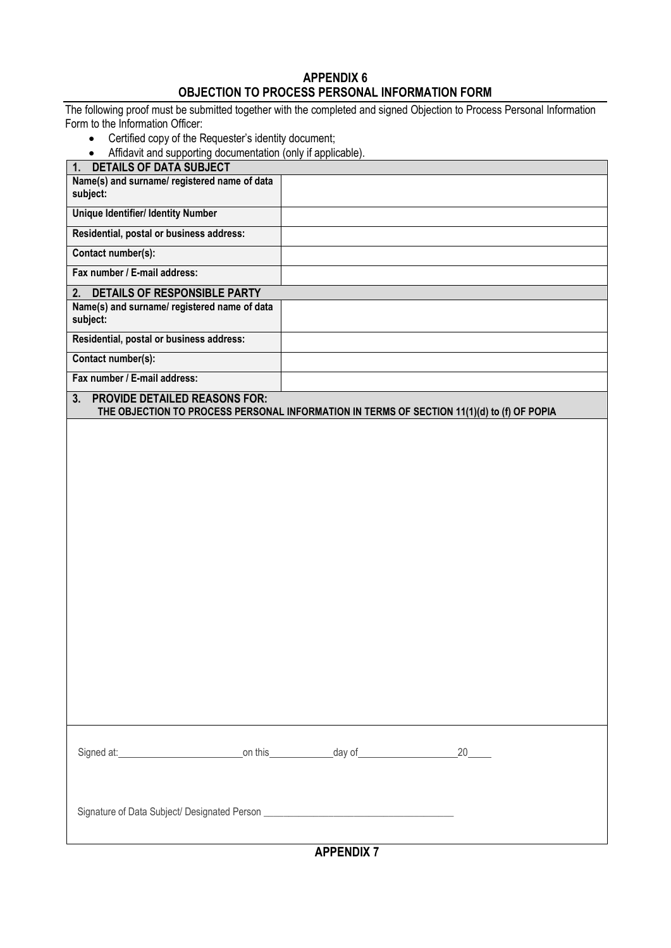# **APPENDIX 6 OBJECTION TO PROCESS PERSONAL INFORMATION FORM**

The following proof must be submitted together with the completed and signed Objection to Process Personal Information Form to the Information Officer:

Certified copy of the Requester's identity document;

| Affidavit and supporting documentation (only if applicable).                                                                             |                          |  |
|------------------------------------------------------------------------------------------------------------------------------------------|--------------------------|--|
| <b>DETAILS OF DATA SUBJECT</b><br>1.                                                                                                     |                          |  |
| Name(s) and surname/ registered name of data<br>subject:                                                                                 |                          |  |
| <b>Unique Identifier/ Identity Number</b>                                                                                                |                          |  |
| Residential, postal or business address:                                                                                                 |                          |  |
| Contact number(s):                                                                                                                       |                          |  |
| Fax number / E-mail address:                                                                                                             |                          |  |
| <b>DETAILS OF RESPONSIBLE PARTY</b><br>2.                                                                                                |                          |  |
| Name(s) and surname/ registered name of data<br>subject:                                                                                 |                          |  |
| Residential, postal or business address:                                                                                                 |                          |  |
| Contact number(s):                                                                                                                       |                          |  |
| Fax number / E-mail address:                                                                                                             |                          |  |
| <b>PROVIDE DETAILED REASONS FOR:</b><br>3.<br>THE OBJECTION TO PROCESS PERSONAL INFORMATION IN TERMS OF SECTION 11(1)(d) to (f) OF POPIA |                          |  |
|                                                                                                                                          |                          |  |
|                                                                                                                                          |                          |  |
|                                                                                                                                          |                          |  |
|                                                                                                                                          |                          |  |
|                                                                                                                                          |                          |  |
|                                                                                                                                          |                          |  |
|                                                                                                                                          |                          |  |
|                                                                                                                                          |                          |  |
|                                                                                                                                          |                          |  |
|                                                                                                                                          |                          |  |
|                                                                                                                                          |                          |  |
|                                                                                                                                          |                          |  |
|                                                                                                                                          |                          |  |
|                                                                                                                                          |                          |  |
|                                                                                                                                          |                          |  |
|                                                                                                                                          |                          |  |
|                                                                                                                                          |                          |  |
|                                                                                                                                          |                          |  |
| Signed at: 20                                                                                                                            |                          |  |
|                                                                                                                                          |                          |  |
|                                                                                                                                          |                          |  |
| Signature of Data Subject/ Designated Person ___________________________________                                                         |                          |  |
|                                                                                                                                          | $\overline{\phantom{a}}$ |  |

**APPENDIX 7**